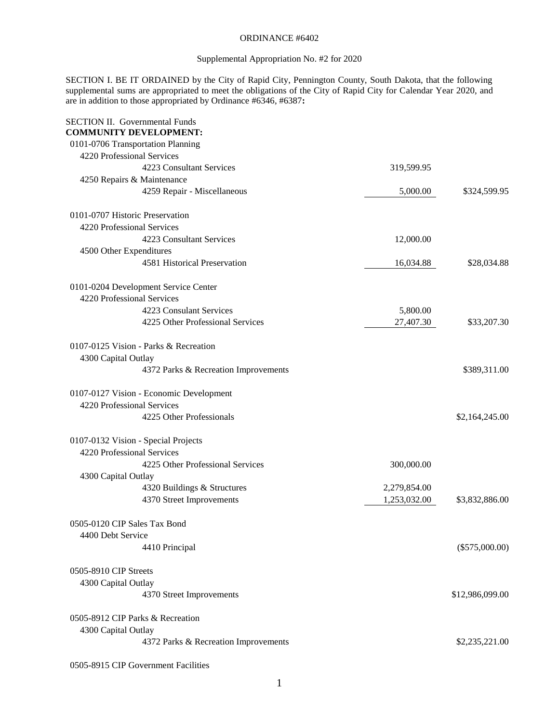### ORDINANCE #6402

# Supplemental Appropriation No. #2 for 2020

SECTION I. BE IT ORDAINED by the City of Rapid City, Pennington County, South Dakota, that the following supplemental sums are appropriated to meet the obligations of the City of Rapid City for Calendar Year 2020, and are in addition to those appropriated by Ordinance #6346, #6387**:**

| <b>SECTION II. Governmental Funds</b><br><b>COMMUNITY DEVELOPMENT:</b> |              |                  |
|------------------------------------------------------------------------|--------------|------------------|
| 0101-0706 Transportation Planning                                      |              |                  |
| 4220 Professional Services                                             |              |                  |
| 4223 Consultant Services                                               | 319,599.95   |                  |
|                                                                        |              |                  |
| 4250 Repairs & Maintenance                                             |              |                  |
| 4259 Repair - Miscellaneous                                            | 5,000.00     | \$324,599.95     |
| 0101-0707 Historic Preservation                                        |              |                  |
| 4220 Professional Services                                             |              |                  |
| 4223 Consultant Services                                               | 12,000.00    |                  |
| 4500 Other Expenditures                                                |              |                  |
| 4581 Historical Preservation                                           | 16,034.88    | \$28,034.88      |
| 0101-0204 Development Service Center                                   |              |                  |
| 4220 Professional Services                                             |              |                  |
| 4223 Consulant Services                                                | 5,800.00     |                  |
| 4225 Other Professional Services                                       | 27,407.30    | \$33,207.30      |
|                                                                        |              |                  |
| 0107-0125 Vision - Parks & Recreation                                  |              |                  |
| 4300 Capital Outlay                                                    |              |                  |
| 4372 Parks & Recreation Improvements                                   |              | \$389,311.00     |
| 0107-0127 Vision - Economic Development                                |              |                  |
| 4220 Professional Services                                             |              |                  |
| 4225 Other Professionals                                               |              | \$2,164,245.00   |
|                                                                        |              |                  |
| 0107-0132 Vision - Special Projects                                    |              |                  |
| 4220 Professional Services                                             |              |                  |
| 4225 Other Professional Services                                       | 300,000.00   |                  |
| 4300 Capital Outlay                                                    |              |                  |
| 4320 Buildings & Structures                                            | 2,279,854.00 |                  |
| 4370 Street Improvements                                               | 1,253,032.00 | \$3,832,886.00   |
| 0505-0120 CIP Sales Tax Bond                                           |              |                  |
| 4400 Debt Service                                                      |              |                  |
| 4410 Principal                                                         |              | $(\$575,000.00)$ |
|                                                                        |              |                  |
| 0505-8910 CIP Streets                                                  |              |                  |
| 4300 Capital Outlay                                                    |              |                  |
| 4370 Street Improvements                                               |              | \$12,986,099.00  |
| 0505-8912 CIP Parks & Recreation                                       |              |                  |
| 4300 Capital Outlay                                                    |              |                  |
| 4372 Parks & Recreation Improvements                                   |              | \$2,235,221.00   |
|                                                                        |              |                  |

0505-8915 CIP Government Facilities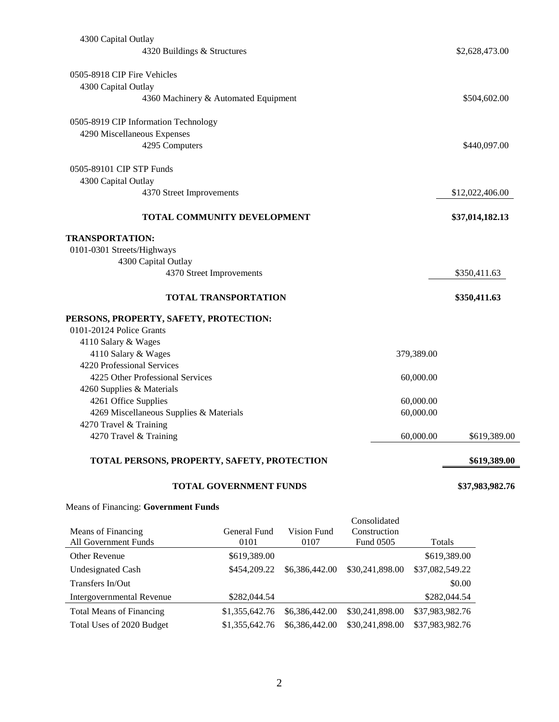| 4300 Capital Outlay                         |                                      |             |                     |                 |
|---------------------------------------------|--------------------------------------|-------------|---------------------|-----------------|
| 4320 Buildings & Structures                 |                                      |             |                     | \$2,628,473.00  |
|                                             |                                      |             |                     |                 |
| 0505-8918 CIP Fire Vehicles                 |                                      |             |                     |                 |
| 4300 Capital Outlay                         |                                      |             |                     |                 |
|                                             | 4360 Machinery & Automated Equipment |             |                     | \$504,602.00    |
| 0505-8919 CIP Information Technology        |                                      |             |                     |                 |
| 4290 Miscellaneous Expenses                 |                                      |             |                     |                 |
| 4295 Computers                              |                                      |             |                     | \$440,097.00    |
| 0505-89101 CIP STP Funds                    |                                      |             |                     |                 |
| 4300 Capital Outlay                         |                                      |             |                     |                 |
| 4370 Street Improvements                    |                                      |             |                     | \$12,022,406.00 |
|                                             |                                      |             |                     |                 |
|                                             | TOTAL COMMUNITY DEVELOPMENT          |             |                     | \$37,014,182.13 |
| <b>TRANSPORTATION:</b>                      |                                      |             |                     |                 |
| 0101-0301 Streets/Highways                  |                                      |             |                     |                 |
| 4300 Capital Outlay                         |                                      |             |                     |                 |
|                                             | 4370 Street Improvements             |             |                     | \$350,411.63    |
|                                             |                                      |             |                     |                 |
|                                             | <b>TOTAL TRANSPORTATION</b>          |             |                     | \$350,411.63    |
| PERSONS, PROPERTY, SAFETY, PROTECTION:      |                                      |             |                     |                 |
| 0101-20124 Police Grants                    |                                      |             |                     |                 |
| 4110 Salary & Wages                         |                                      |             |                     |                 |
| 4110 Salary & Wages                         |                                      |             | 379,389.00          |                 |
| 4220 Professional Services                  |                                      |             |                     |                 |
| 4225 Other Professional Services            |                                      |             | 60,000.00           |                 |
| 4260 Supplies & Materials                   |                                      |             |                     |                 |
| 4261 Office Supplies                        |                                      |             | 60,000.00           |                 |
| 4269 Miscellaneous Supplies & Materials     |                                      |             | 60,000.00           |                 |
| 4270 Travel & Training                      |                                      |             |                     |                 |
| 4270 Travel & Training                      |                                      |             | 60,000.00           | \$619,389.00    |
| TOTAL PERSONS, PROPERTY, SAFETY, PROTECTION |                                      |             |                     | \$619,389.00    |
| <b>TOTAL GOVERNMENT FUNDS</b>               |                                      |             | \$37,983,982.76     |                 |
| <b>Means of Financing: Government Funds</b> |                                      |             |                     |                 |
|                                             |                                      |             | Consolidated        |                 |
| Means of Financing                          | General Fund                         | Vision Fund | Construction        |                 |
| <b>All Government Funds</b>                 | 0101                                 | 0107        | Fund 0505<br>Totals |                 |

| All Government Funds            | 0101           | 0107           | Fund 0505       | Totals          |
|---------------------------------|----------------|----------------|-----------------|-----------------|
| Other Revenue                   | \$619,389.00   |                |                 | \$619,389.00    |
| <b>Undesignated Cash</b>        | \$454,209.22   | \$6,386,442.00 | \$30,241,898.00 | \$37,082,549.22 |
| Transfers In/Out                |                |                |                 | \$0.00          |
| Intergovernmental Revenue       | \$282,044.54   |                |                 | \$282,044.54    |
| <b>Total Means of Financing</b> | \$1,355,642.76 | \$6,386,442,00 | \$30,241,898.00 | \$37,983,982.76 |
| Total Uses of 2020 Budget       | \$1,355,642.76 | \$6,386,442.00 | \$30,241,898.00 | \$37,983,982.76 |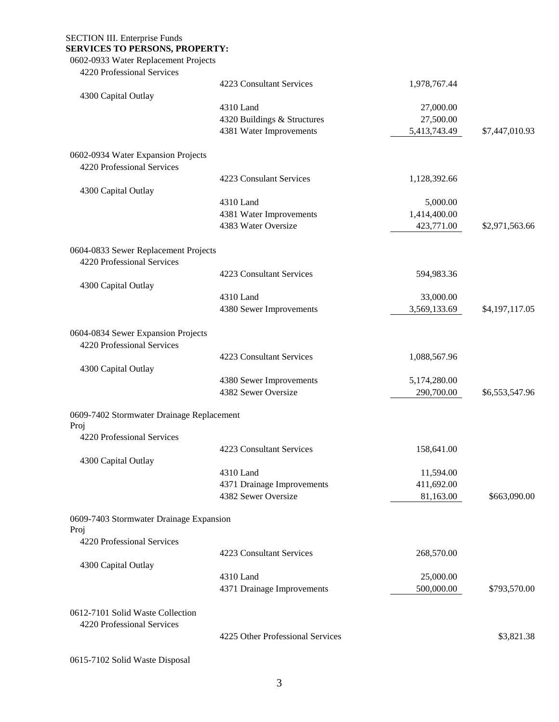SECTION III. Enterprise Funds

# **SERVICES TO PERSONS, PROPERTY:**

0602-0933 Water Replacement Projects

| 4220 Professional Services                                         |                                  |              |                |
|--------------------------------------------------------------------|----------------------------------|--------------|----------------|
|                                                                    | 4223 Consultant Services         | 1,978,767.44 |                |
| 4300 Capital Outlay                                                |                                  |              |                |
|                                                                    | 4310 Land                        | 27,000.00    |                |
|                                                                    | 4320 Buildings & Structures      | 27,500.00    |                |
|                                                                    | 4381 Water Improvements          | 5,413,743.49 | \$7,447,010.93 |
| 0602-0934 Water Expansion Projects                                 |                                  |              |                |
| 4220 Professional Services                                         |                                  |              |                |
|                                                                    | 4223 Consulant Services          | 1,128,392.66 |                |
| 4300 Capital Outlay                                                |                                  |              |                |
|                                                                    | 4310 Land                        | 5,000.00     |                |
|                                                                    | 4381 Water Improvements          | 1,414,400.00 |                |
|                                                                    | 4383 Water Oversize              | 423,771.00   | \$2,971,563.66 |
| 0604-0833 Sewer Replacement Projects<br>4220 Professional Services |                                  |              |                |
|                                                                    | 4223 Consultant Services         | 594,983.36   |                |
| 4300 Capital Outlay                                                |                                  |              |                |
|                                                                    | 4310 Land                        | 33,000.00    |                |
|                                                                    | 4380 Sewer Improvements          | 3,569,133.69 | \$4,197,117.05 |
| 0604-0834 Sewer Expansion Projects<br>4220 Professional Services   |                                  |              |                |
|                                                                    | 4223 Consultant Services         | 1,088,567.96 |                |
| 4300 Capital Outlay                                                |                                  |              |                |
|                                                                    | 4380 Sewer Improvements          | 5,174,280.00 |                |
|                                                                    | 4382 Sewer Oversize              | 290,700.00   | \$6,553,547.96 |
| 0609-7402 Stormwater Drainage Replacement<br>Proj                  |                                  |              |                |
| 4220 Professional Services                                         |                                  |              |                |
|                                                                    | 4223 Consultant Services         | 158,641.00   |                |
| 4300 Capital Outlay                                                |                                  |              |                |
|                                                                    | 4310 Land                        | 11,594.00    |                |
|                                                                    | 4371 Drainage Improvements       | 411,692.00   |                |
|                                                                    | 4382 Sewer Oversize              | 81,163.00    | \$663,090.00   |
| 0609-7403 Stormwater Drainage Expansion<br>Proj                    |                                  |              |                |
| 4220 Professional Services                                         |                                  |              |                |
|                                                                    | 4223 Consultant Services         | 268,570.00   |                |
| 4300 Capital Outlay                                                |                                  |              |                |
|                                                                    | 4310 Land                        | 25,000.00    |                |
|                                                                    | 4371 Drainage Improvements       | 500,000.00   | \$793,570.00   |
| 0612-7101 Solid Waste Collection<br>4220 Professional Services     |                                  |              |                |
|                                                                    | 4225 Other Professional Services |              | \$3,821.38     |
| 0615-7102 Solid Waste Disposal                                     |                                  |              |                |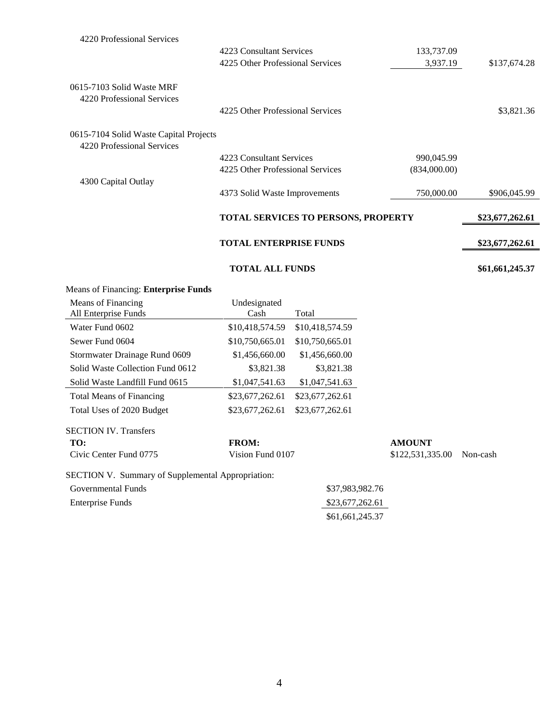| <b>Means of Financing: Enterprise Funds</b>                          |                                     |              |                 |
|----------------------------------------------------------------------|-------------------------------------|--------------|-----------------|
|                                                                      | <b>TOTAL ALL FUNDS</b>              |              | \$61,661,245.37 |
|                                                                      | <b>TOTAL ENTERPRISE FUNDS</b>       |              | \$23,677,262.61 |
|                                                                      | TOTAL SERVICES TO PERSONS, PROPERTY |              | \$23,677,262.61 |
| 4300 Capital Outlay                                                  | 4373 Solid Waste Improvements       | 750,000.00   | \$906,045.99    |
|                                                                      | 4225 Other Professional Services    | (834,000.00) |                 |
| 0615-7104 Solid Waste Capital Projects<br>4220 Professional Services | 4223 Consultant Services            | 990,045.99   |                 |
|                                                                      | 4225 Other Professional Services    |              | \$3,821.36      |
| 0615-7103 Solid Waste MRF<br>4220 Professional Services              |                                     |              |                 |
|                                                                      | 4225 Other Professional Services    | 3,937.19     | \$137,674.28    |
|                                                                      | 4223 Consultant Services            | 133,737.09   |                 |
| 4220 Professional Services                                           |                                     |              |                 |

| Means of Financing                                       | Undesignated     |                 |                  |          |
|----------------------------------------------------------|------------------|-----------------|------------------|----------|
| All Enterprise Funds                                     | Cash             | Total           |                  |          |
| Water Fund 0602                                          | \$10,418,574.59  | \$10,418,574.59 |                  |          |
| Sewer Fund 0604                                          | \$10,750,665.01  | \$10,750,665.01 |                  |          |
| Stormwater Drainage Rund 0609                            | \$1,456,660.00   | \$1,456,660.00  |                  |          |
| Solid Waste Collection Fund 0612                         | \$3,821.38       | \$3,821.38      |                  |          |
| Solid Waste Landfill Fund 0615                           | \$1,047,541.63   | \$1,047,541.63  |                  |          |
| <b>Total Means of Financing</b>                          | \$23,677,262.61  | \$23,677,262.61 |                  |          |
| Total Uses of 2020 Budget                                | \$23,677,262.61  | \$23,677,262.61 |                  |          |
| <b>SECTION IV. Transfers</b>                             |                  |                 |                  |          |
| TO:                                                      | <b>FROM:</b>     |                 | <b>AMOUNT</b>    |          |
| Civic Center Fund 0775                                   | Vision Fund 0107 |                 | \$122,531,335.00 | Non-cash |
| <b>SECTION V. Summary of Supplemental Appropriation:</b> |                  |                 |                  |          |
| Governmental Funds                                       |                  | \$37,983,982.76 |                  |          |
| <b>Enterprise Funds</b>                                  |                  | \$23,677,262.61 |                  |          |
|                                                          |                  | \$61,661,245.37 |                  |          |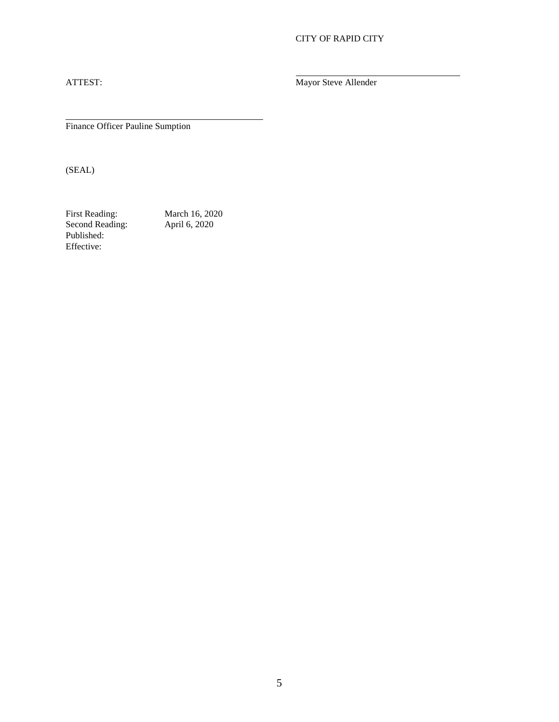# CITY OF RAPID CITY

ATTEST: Mayor Steve Allender

Finance Officer Pauline Sumption

(SEAL)

First Reading: March 16, 2020 Second Reading: April 6, 2020 Published: Effective:

5